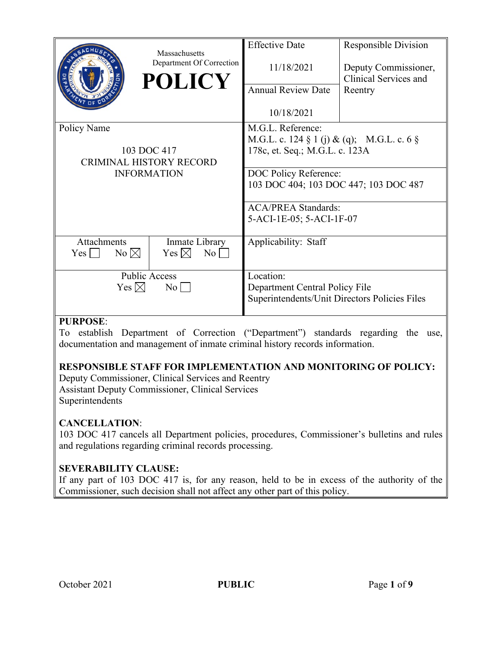|                                                                                    | Massachusetts<br>Department Of Correction<br><b>POLICY</b> | <b>Effective Date</b><br>11/18/2021<br><b>Annual Review Date</b><br>10/18/2021                                                                                                                                                | <b>Responsible Division</b><br>Deputy Commissioner,<br>Clinical Services and<br>Reentry |
|------------------------------------------------------------------------------------|------------------------------------------------------------|-------------------------------------------------------------------------------------------------------------------------------------------------------------------------------------------------------------------------------|-----------------------------------------------------------------------------------------|
| Policy Name<br>103 DOC 417<br><b>CRIMINAL HISTORY RECORD</b><br><b>INFORMATION</b> |                                                            | M.G.L. Reference:<br>M.G.L. c. 124 § 1 (j) & (q); M.G.L. c. 6 §<br>178c, et. Seq.; M.G.L. c. 123A<br>DOC Policy Reference:<br>103 DOC 404; 103 DOC 447; 103 DOC 487<br><b>ACA/PREA Standards:</b><br>5-ACI-1E-05; 5-ACI-1F-07 |                                                                                         |
| Attachments<br>$No \bowtie$<br>Yes                                                 | Inmate Library<br>Yes $\boxtimes$<br>$\rm{No}$             | Applicability: Staff                                                                                                                                                                                                          |                                                                                         |
| <b>Public Access</b><br>Yes $\boxtimes$<br>$\overline{N_{0}}$                      |                                                            | Location:<br>Department Central Policy File<br>Superintendents/Unit Directors Policies Files                                                                                                                                  |                                                                                         |

## **PURPOSE**:

To establish Department of Correction ("Department") standards regarding the use, documentation and management of inmate criminal history records information.

## **RESPONSIBLE STAFF FOR IMPLEMENTATION AND MONITORING OF POLICY:**

Deputy Commissioner, Clinical Services and Reentry Assistant Deputy Commissioner, Clinical Services Superintendents

## **CANCELLATION**:

103 DOC 417 cancels all Department policies, procedures, Commissioner's bulletins and rules and regulations regarding criminal records processing.

## **SEVERABILITY CLAUSE:**

If any part of 103 DOC 417 is, for any reason, held to be in excess of the authority of the Commissioner, such decision shall not affect any other part of this policy.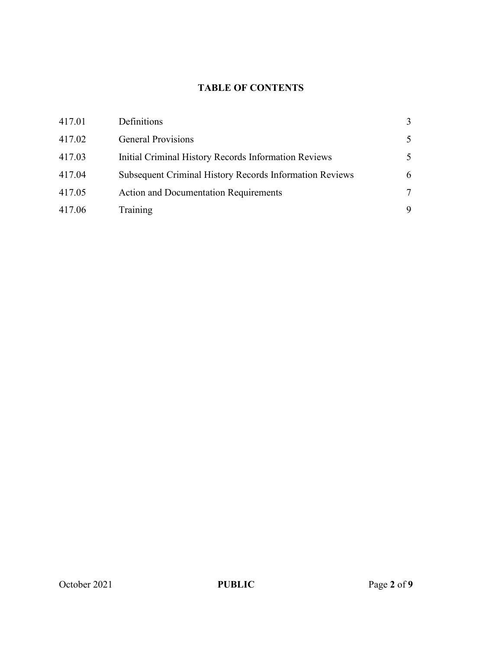# **TABLE OF CONTENTS**

| Definitions<br>417.01                                             | 3 |
|-------------------------------------------------------------------|---|
| <b>General Provisions</b><br>417.02                               | 5 |
| 417.03<br>Initial Criminal History Records Information Reviews    | 5 |
| Subsequent Criminal History Records Information Reviews<br>417.04 | 6 |
| 417.05<br><b>Action and Documentation Requirements</b>            | 7 |
| Training<br>417.06                                                | 9 |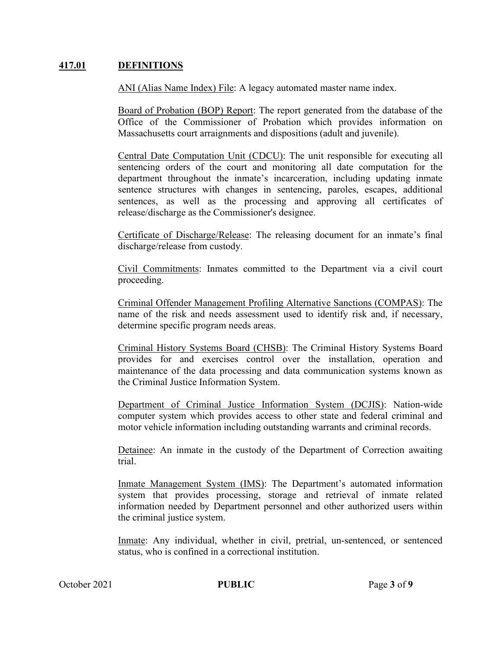#### **417.01 DEFINITIONS**

ANI (Alias Name Index) File: A legacy automated master name index.

Board of Probation (BOP) Report: The report generated from the database of the Office of the Commissioner of Probation which provides information on Massachusetts court arraignments and dispositions (adult and juvenile).

Central Date Computation Unit (CDCU): The unit responsible for executing all sentencing orders of the court and monitoring all date computation for the department throughout the inmate's incarceration, including updating inmate sentence structures with changes in sentencing, paroles, escapes, additional sentences, as well as the processing and approving all certificates of release/discharge as the Commissioner's designee.

Certificate of Discharge/Release: The releasing document for an inmate's final discharge/release from custody.

Civil Commitments: Inmates committed to the Department via a civil court proceeding.

Criminal Offender Management Profiling Alternative Sanctions (COMPAS): The name of the risk and needs assessment used to identify risk and, if necessary, determine specific program needs areas.

Criminal History Systems Board (CHSB): The Criminal History Systems Board provides for and exercises control over the installation, operation and maintenance of the data processing and data communication systems known as the Criminal Justice Information System.

Department of Criminal Justice Information System (DCJIS): Nation-wide computer system which provides access to other state and federal criminal and motor vehicle information including outstanding warrants and criminal records.

Detainee: An inmate in the custody of the Department of Correction awaiting trial.

Inmate Management System (IMS): The Department's automated information system that provides processing, storage and retrieval of inmate related information needed by Department personnel and other authorized users within the criminal justice system.

Inmate: Any individual, whether in civil, pretrial, un-sentenced, or sentenced status, who is confined in a correctional institution.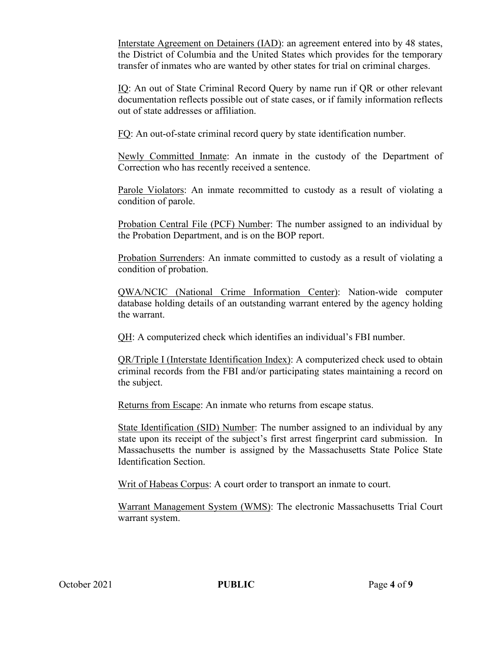Interstate Agreement on Detainers (IAD): an agreement entered into by 48 states, the District of Columbia and the United States which provides for the temporary transfer of inmates who are wanted by other states for trial on criminal charges.

IQ: An out of State Criminal Record Query by name run if QR or other relevant documentation reflects possible out of state cases, or if family information reflects out of state addresses or affiliation.

FQ: An out-of-state criminal record query by state identification number.

Newly Committed Inmate: An inmate in the custody of the Department of Correction who has recently received a sentence.

Parole Violators: An inmate recommitted to custody as a result of violating a condition of parole.

Probation Central File (PCF) Number: The number assigned to an individual by the Probation Department, and is on the BOP report.

Probation Surrenders: An inmate committed to custody as a result of violating a condition of probation.

QWA/NCIC (National Crime Information Center): Nation-wide computer database holding details of an outstanding warrant entered by the agency holding the warrant.

QH: A computerized check which identifies an individual's FBI number.

QR/Triple I (Interstate Identification Index): A computerized check used to obtain criminal records from the FBI and/or participating states maintaining a record on the subject.

Returns from Escape: An inmate who returns from escape status.

State Identification (SID) Number: The number assigned to an individual by any state upon its receipt of the subject's first arrest fingerprint card submission. In Massachusetts the number is assigned by the Massachusetts State Police State Identification Section.

Writ of Habeas Corpus: A court order to transport an inmate to court.

Warrant Management System (WMS): The electronic Massachusetts Trial Court warrant system.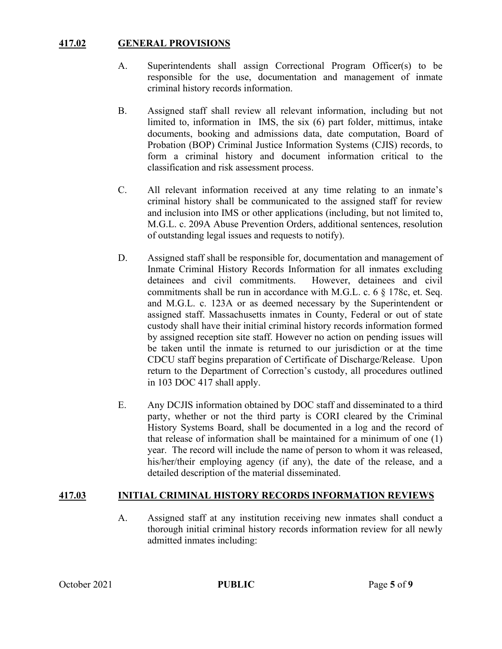## **417.02 GENERAL PROVISIONS**

- A. Superintendents shall assign Correctional Program Officer(s) to be responsible for the use, documentation and management of inmate criminal history records information.
- B. Assigned staff shall review all relevant information, including but not limited to, information in IMS, the six (6) part folder, mittimus, intake documents, booking and admissions data, date computation, Board of Probation (BOP) Criminal Justice Information Systems (CJIS) records, to form a criminal history and document information critical to the classification and risk assessment process.
- C. All relevant information received at any time relating to an inmate's criminal history shall be communicated to the assigned staff for review and inclusion into IMS or other applications (including, but not limited to, M.G.L. c. 209A Abuse Prevention Orders, additional sentences, resolution of outstanding legal issues and requests to notify).
- D. Assigned staff shall be responsible for, documentation and management of Inmate Criminal History Records Information for all inmates excluding detainees and civil commitments. However, detainees and civil commitments shall be run in accordance with M.G.L. c. 6 § 178c, et. Seq. and M.G.L. c. 123A or as deemed necessary by the Superintendent or assigned staff. Massachusetts inmates in County, Federal or out of state custody shall have their initial criminal history records information formed by assigned reception site staff. However no action on pending issues will be taken until the inmate is returned to our jurisdiction or at the time CDCU staff begins preparation of Certificate of Discharge/Release. Upon return to the Department of Correction's custody, all procedures outlined in 103 DOC 417 shall apply.
- E. Any DCJIS information obtained by DOC staff and disseminated to a third party, whether or not the third party is CORI cleared by the Criminal History Systems Board, shall be documented in a log and the record of that release of information shall be maintained for a minimum of one (1) year. The record will include the name of person to whom it was released, his/her/their employing agency (if any), the date of the release, and a detailed description of the material disseminated.

#### **417.03 INITIAL CRIMINAL HISTORY RECORDS INFORMATION REVIEWS**

A. Assigned staff at any institution receiving new inmates shall conduct a thorough initial criminal history records information review for all newly admitted inmates including: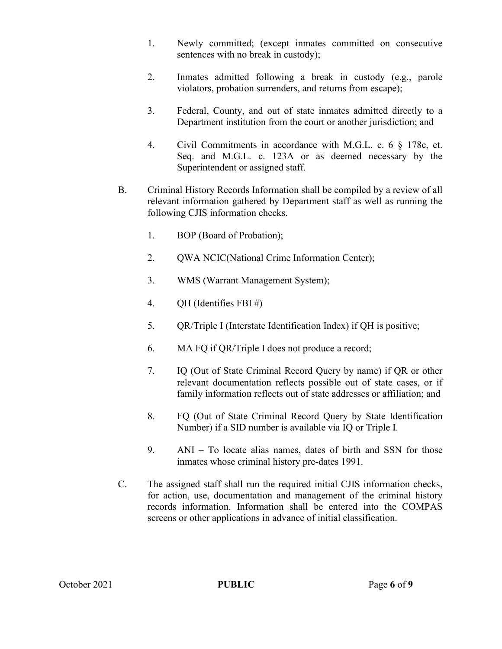- 1. Newly committed; (except inmates committed on consecutive sentences with no break in custody);
- 2. Inmates admitted following a break in custody (e.g., parole violators, probation surrenders, and returns from escape);
- 3. Federal, County, and out of state inmates admitted directly to a Department institution from the court or another jurisdiction; and
- 4. Civil Commitments in accordance with M.G.L. c. 6 § 178c, et. Seq. and M.G.L. c. 123A or as deemed necessary by the Superintendent or assigned staff.
- B. Criminal History Records Information shall be compiled by a review of all relevant information gathered by Department staff as well as running the following CJIS information checks.
	- 1. BOP (Board of Probation);
	- 2. QWA NCIC(National Crime Information Center);
	- 3. WMS (Warrant Management System);
	- 4. QH (Identifies FBI #)
	- 5. QR/Triple I (Interstate Identification Index) if QH is positive;
	- 6. MA FQ if QR/Triple I does not produce a record;
	- 7. IQ (Out of State Criminal Record Query by name) if QR or other relevant documentation reflects possible out of state cases, or if family information reflects out of state addresses or affiliation; and
	- 8. FQ (Out of State Criminal Record Query by State Identification Number) if a SID number is available via IQ or Triple I.
	- 9. ANI To locate alias names, dates of birth and SSN for those inmates whose criminal history pre-dates 1991.
- C. The assigned staff shall run the required initial CJIS information checks, for action, use, documentation and management of the criminal history records information. Information shall be entered into the COMPAS screens or other applications in advance of initial classification.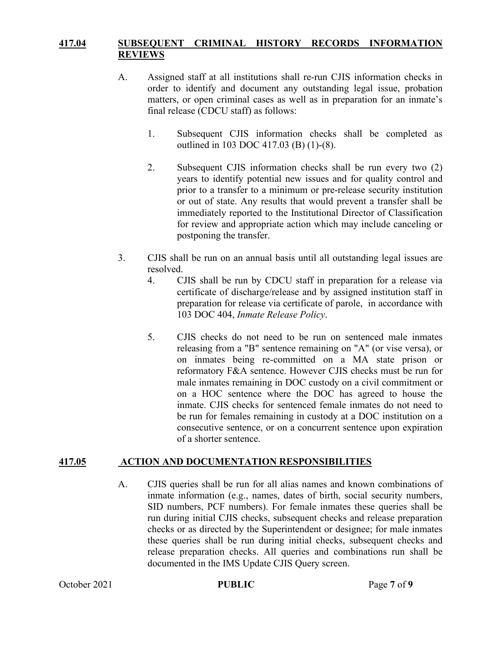### **417.04 SUBSEQUENT CRIMINAL HISTORY RECORDS INFORMATION REVIEWS**

- A. Assigned staff at all institutions shall re-run CJIS information checks in order to identify and document any outstanding legal issue, probation matters, or open criminal cases as well as in preparation for an inmate's final release (CDCU staff) as follows:
	- 1. Subsequent CJIS information checks shall be completed as outlined in 103 DOC 417.03 (B) (1)-(8).
	- 2. Subsequent CJIS information checks shall be run every two (2) years to identify potential new issues and for quality control and prior to a transfer to a minimum or pre-release security institution or out of state. Any results that would prevent a transfer shall be immediately reported to the Institutional Director of Classification for review and appropriate action which may include canceling or postponing the transfer.
- 3. CJIS shall be run on an annual basis until all outstanding legal issues are resolved.
	- 4. CJIS shall be run by CDCU staff in preparation for a release via certificate of discharge/release and by assigned institution staff in preparation for release via certificate of parole, in accordance with 103 DOC 404, *Inmate Release Policy*.
	- 5. CJIS checks do not need to be run on sentenced male inmates releasing from a "B" sentence remaining on "A" (or vise versa), or on inmates being re-committed on a MA state prison or reformatory F&A sentence. However CJIS checks must be run for male inmates remaining in DOC custody on a civil commitment or on a HOC sentence where the DOC has agreed to house the inmate. CJIS checks for sentenced female inmates do not need to be run for females remaining in custody at a DOC institution on a consecutive sentence, or on a concurrent sentence upon expiration of a shorter sentence.

#### **417.05 ACTION AND DOCUMENTATION RESPONSIBILITIES**

A. CJIS queries shall be run for all alias names and known combinations of inmate information (e.g., names, dates of birth, social security numbers, SID numbers, PCF numbers). For female inmates these queries shall be run during initial CJIS checks, subsequent checks and release preparation checks or as directed by the Superintendent or designee; for male inmates these queries shall be run during initial checks, subsequent checks and release preparation checks. All queries and combinations run shall be documented in the IMS Update CJIS Query screen.

October 2021 **PUBLIC** Page 7 of 9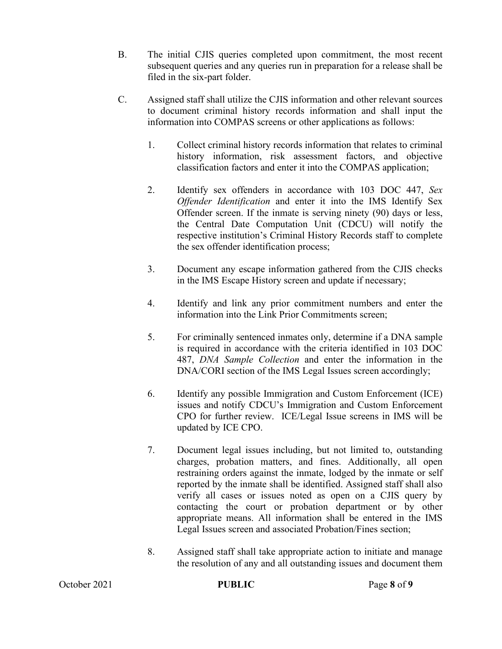- B. The initial CJIS queries completed upon commitment, the most recent subsequent queries and any queries run in preparation for a release shall be filed in the six-part folder.
- C. Assigned staff shall utilize the CJIS information and other relevant sources to document criminal history records information and shall input the information into COMPAS screens or other applications as follows:
	- 1. Collect criminal history records information that relates to criminal history information, risk assessment factors, and objective classification factors and enter it into the COMPAS application;
	- 2. Identify sex offenders in accordance with 103 DOC 447, *Sex Offender Identification* and enter it into the IMS Identify Sex Offender screen. If the inmate is serving ninety (90) days or less, the Central Date Computation Unit (CDCU) will notify the respective institution's Criminal History Records staff to complete the sex offender identification process;
	- 3. Document any escape information gathered from the CJIS checks in the IMS Escape History screen and update if necessary;
	- 4. Identify and link any prior commitment numbers and enter the information into the Link Prior Commitments screen;
	- 5. For criminally sentenced inmates only, determine if a DNA sample is required in accordance with the criteria identified in 103 DOC 487, *DNA Sample Collection* and enter the information in the DNA/CORI section of the IMS Legal Issues screen accordingly;
	- 6. Identify any possible Immigration and Custom Enforcement (ICE) issues and notify CDCU's Immigration and Custom Enforcement CPO for further review. ICE/Legal Issue screens in IMS will be updated by ICE CPO.
	- 7. Document legal issues including, but not limited to, outstanding charges, probation matters, and fines. Additionally, all open restraining orders against the inmate, lodged by the inmate or self reported by the inmate shall be identified. Assigned staff shall also verify all cases or issues noted as open on a CJIS query by contacting the court or probation department or by other appropriate means. All information shall be entered in the IMS Legal Issues screen and associated Probation/Fines section;
	- 8. Assigned staff shall take appropriate action to initiate and manage the resolution of any and all outstanding issues and document them